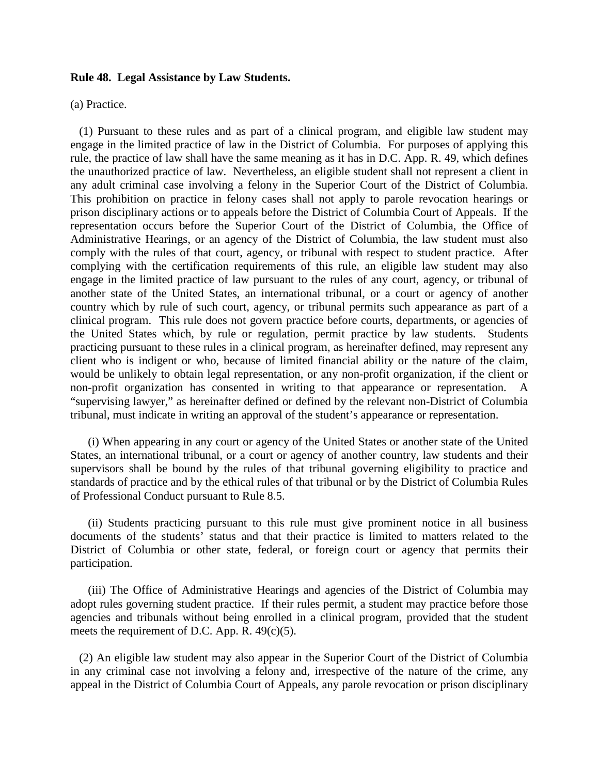## **Rule 48. Legal Assistance by Law Students.**

(a) Practice.

(1) Pursuant to these rules and as part of a clinical program, and eligible law student may engage in the limited practice of law in the District of Columbia. For purposes of applying this rule, the practice of law shall have the same meaning as it has in D.C. App. R. 49, which defines the unauthorized practice of law. Nevertheless, an eligible student shall not represent a client in any adult criminal case involving a felony in the Superior Court of the District of Columbia. This prohibition on practice in felony cases shall not apply to parole revocation hearings or prison disciplinary actions or to appeals before the District of Columbia Court of Appeals. If the representation occurs before the Superior Court of the District of Columbia, the Office of Administrative Hearings, or an agency of the District of Columbia, the law student must also comply with the rules of that court, agency, or tribunal with respect to student practice. After complying with the certification requirements of this rule, an eligible law student may also engage in the limited practice of law pursuant to the rules of any court, agency, or tribunal of another state of the United States, an international tribunal, or a court or agency of another country which by rule of such court, agency, or tribunal permits such appearance as part of a clinical program. This rule does not govern practice before courts, departments, or agencies of the United States which, by rule or regulation, permit practice by law students. Students practicing pursuant to these rules in a clinical program, as hereinafter defined, may represent any client who is indigent or who, because of limited financial ability or the nature of the claim, would be unlikely to obtain legal representation, or any non-profit organization, if the client or non-profit organization has consented in writing to that appearance or representation. A "supervising lawyer," as hereinafter defined or defined by the relevant non-District of Columbia tribunal, must indicate in writing an approval of the student's appearance or representation.

(i) When appearing in any court or agency of the United States or another state of the United States, an international tribunal, or a court or agency of another country, law students and their supervisors shall be bound by the rules of that tribunal governing eligibility to practice and standards of practice and by the ethical rules of that tribunal or by the District of Columbia Rules of Professional Conduct pursuant to Rule 8.5.

(ii) Students practicing pursuant to this rule must give prominent notice in all business documents of the students' status and that their practice is limited to matters related to the District of Columbia or other state, federal, or foreign court or agency that permits their participation.

(iii) The Office of Administrative Hearings and agencies of the District of Columbia may adopt rules governing student practice. If their rules permit, a student may practice before those agencies and tribunals without being enrolled in a clinical program, provided that the student meets the requirement of D.C. App. R.  $49(c)(5)$ .

(2) An eligible law student may also appear in the Superior Court of the District of Columbia in any criminal case not involving a felony and, irrespective of the nature of the crime, any appeal in the District of Columbia Court of Appeals, any parole revocation or prison disciplinary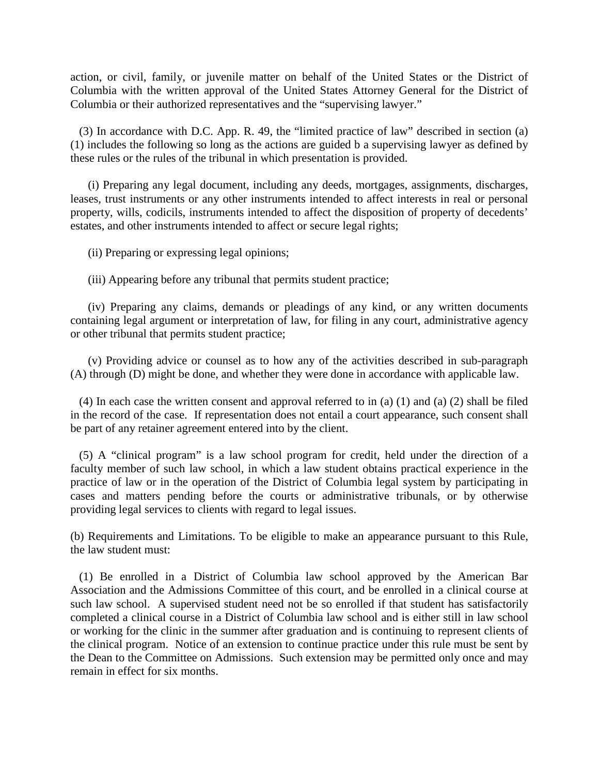action, or civil, family, or juvenile matter on behalf of the United States or the District of Columbia with the written approval of the United States Attorney General for the District of Columbia or their authorized representatives and the "supervising lawyer."

(3) In accordance with D.C. App. R. 49, the "limited practice of law" described in section (a) (1) includes the following so long as the actions are guided b a supervising lawyer as defined by these rules or the rules of the tribunal in which presentation is provided.

(i) Preparing any legal document, including any deeds, mortgages, assignments, discharges, leases, trust instruments or any other instruments intended to affect interests in real or personal property, wills, codicils, instruments intended to affect the disposition of property of decedents' estates, and other instruments intended to affect or secure legal rights;

(ii) Preparing or expressing legal opinions;

(iii) Appearing before any tribunal that permits student practice;

(iv) Preparing any claims, demands or pleadings of any kind, or any written documents containing legal argument or interpretation of law, for filing in any court, administrative agency or other tribunal that permits student practice;

(v) Providing advice or counsel as to how any of the activities described in sub-paragraph (A) through (D) might be done, and whether they were done in accordance with applicable law.

(4) In each case the written consent and approval referred to in (a) (1) and (a) (2) shall be filed in the record of the case. If representation does not entail a court appearance, such consent shall be part of any retainer agreement entered into by the client.

(5) A "clinical program" is a law school program for credit, held under the direction of a faculty member of such law school, in which a law student obtains practical experience in the practice of law or in the operation of the District of Columbia legal system by participating in cases and matters pending before the courts or administrative tribunals, or by otherwise providing legal services to clients with regard to legal issues.

(b) Requirements and Limitations. To be eligible to make an appearance pursuant to this Rule, the law student must:

(1) Be enrolled in a District of Columbia law school approved by the American Bar Association and the Admissions Committee of this court, and be enrolled in a clinical course at such law school. A supervised student need not be so enrolled if that student has satisfactorily completed a clinical course in a District of Columbia law school and is either still in law school or working for the clinic in the summer after graduation and is continuing to represent clients of the clinical program. Notice of an extension to continue practice under this rule must be sent by the Dean to the Committee on Admissions. Such extension may be permitted only once and may remain in effect for six months.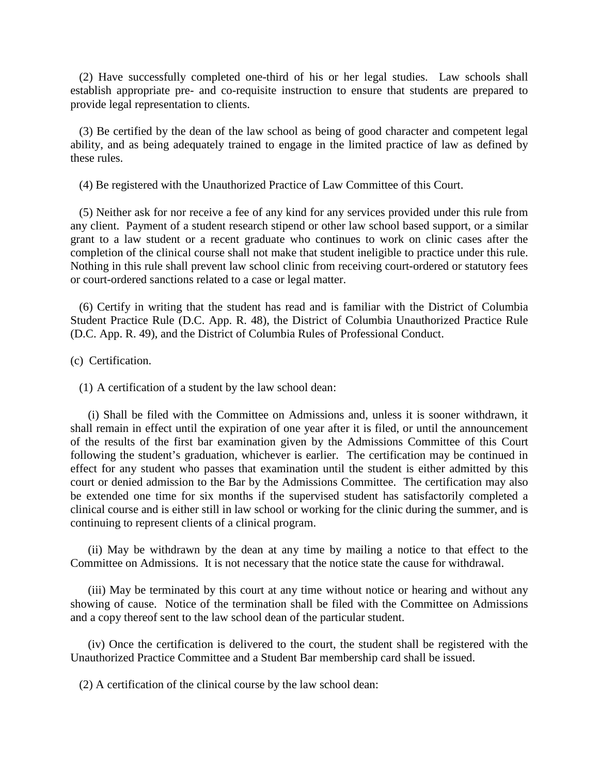(2) Have successfully completed one-third of his or her legal studies. Law schools shall establish appropriate pre- and co-requisite instruction to ensure that students are prepared to provide legal representation to clients.

(3) Be certified by the dean of the law school as being of good character and competent legal ability, and as being adequately trained to engage in the limited practice of law as defined by these rules.

(4) Be registered with the Unauthorized Practice of Law Committee of this Court.

(5) Neither ask for nor receive a fee of any kind for any services provided under this rule from any client. Payment of a student research stipend or other law school based support, or a similar grant to a law student or a recent graduate who continues to work on clinic cases after the completion of the clinical course shall not make that student ineligible to practice under this rule. Nothing in this rule shall prevent law school clinic from receiving court-ordered or statutory fees or court-ordered sanctions related to a case or legal matter.

(6) Certify in writing that the student has read and is familiar with the District of Columbia Student Practice Rule (D.C. App. R. 48), the District of Columbia Unauthorized Practice Rule (D.C. App. R. 49), and the District of Columbia Rules of Professional Conduct.

(c) Certification.

(1) A certification of a student by the law school dean:

(i) Shall be filed with the Committee on Admissions and, unless it is sooner withdrawn, it shall remain in effect until the expiration of one year after it is filed, or until the announcement of the results of the first bar examination given by the Admissions Committee of this Court following the student's graduation, whichever is earlier. The certification may be continued in effect for any student who passes that examination until the student is either admitted by this court or denied admission to the Bar by the Admissions Committee. The certification may also be extended one time for six months if the supervised student has satisfactorily completed a clinical course and is either still in law school or working for the clinic during the summer, and is continuing to represent clients of a clinical program.

(ii) May be withdrawn by the dean at any time by mailing a notice to that effect to the Committee on Admissions. It is not necessary that the notice state the cause for withdrawal.

(iii) May be terminated by this court at any time without notice or hearing and without any showing of cause. Notice of the termination shall be filed with the Committee on Admissions and a copy thereof sent to the law school dean of the particular student.

(iv) Once the certification is delivered to the court, the student shall be registered with the Unauthorized Practice Committee and a Student Bar membership card shall be issued.

(2) A certification of the clinical course by the law school dean: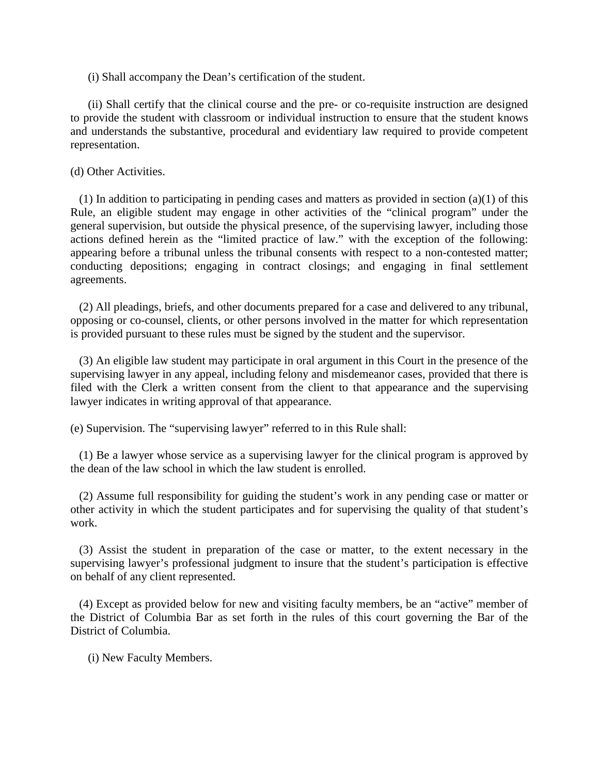(i) Shall accompany the Dean's certification of the student.

(ii) Shall certify that the clinical course and the pre- or co-requisite instruction are designed to provide the student with classroom or individual instruction to ensure that the student knows and understands the substantive, procedural and evidentiary law required to provide competent representation.

(d) Other Activities.

(1) In addition to participating in pending cases and matters as provided in section (a)(1) of this Rule, an eligible student may engage in other activities of the "clinical program" under the general supervision, but outside the physical presence, of the supervising lawyer, including those actions defined herein as the "limited practice of law." with the exception of the following: appearing before a tribunal unless the tribunal consents with respect to a non-contested matter; conducting depositions; engaging in contract closings; and engaging in final settlement agreements.

(2) All pleadings, briefs, and other documents prepared for a case and delivered to any tribunal, opposing or co-counsel, clients, or other persons involved in the matter for which representation is provided pursuant to these rules must be signed by the student and the supervisor.

(3) An eligible law student may participate in oral argument in this Court in the presence of the supervising lawyer in any appeal, including felony and misdemeanor cases, provided that there is filed with the Clerk a written consent from the client to that appearance and the supervising lawyer indicates in writing approval of that appearance.

(e) Supervision. The "supervising lawyer" referred to in this Rule shall:

(1) Be a lawyer whose service as a supervising lawyer for the clinical program is approved by the dean of the law school in which the law student is enrolled.

(2) Assume full responsibility for guiding the student's work in any pending case or matter or other activity in which the student participates and for supervising the quality of that student's work.

(3) Assist the student in preparation of the case or matter, to the extent necessary in the supervising lawyer's professional judgment to insure that the student's participation is effective on behalf of any client represented.

(4) Except as provided below for new and visiting faculty members, be an "active" member of the District of Columbia Bar as set forth in the rules of this court governing the Bar of the District of Columbia.

(i) New Faculty Members.